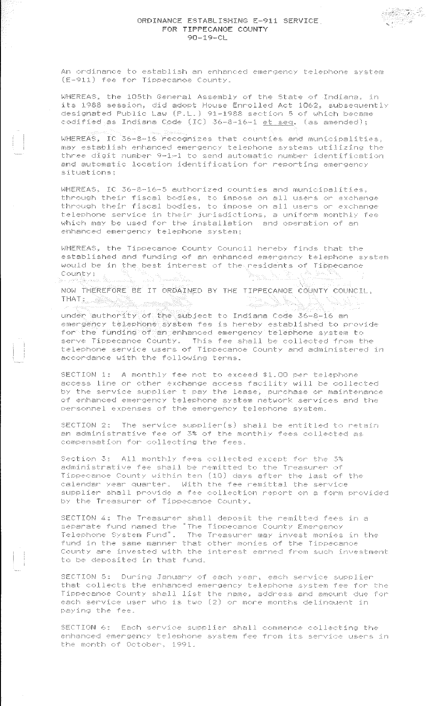| ORDINANCE ESTABLISHING E-911 SERVICE |  |
|--------------------------------------|--|
| FOR TIPPFCANOF COUNTY                |  |
| $90 - 19 - C1$                       |  |

An ordinance to establish an enhanced emergency telephone system (E-911) fee for Tippecanoe County,

WHEREAS, the 105th General Assembly of the State of Indiana, in its 1988 session, did adopt House Enrolled Act 1062, subsequently designated Public Law (P.L.) 91-1988 section 5 of which became codified as Indiana Code (IC) 36-8-16-1 et seq. (as amended);

WHEREAS, IC 36-8-16 recognizes that counties and municipalities, may establish enhanced emergency telephone systems utilizing the three digit number 9-1-1 to send automatic number identification and automatic location identification for reporting emergency situations;

WHEREAS, IC 36-8-16-5 authorized counties and municipalities, through their fiscal bodies, to impose on all users or exchange<br>through their fiscal bodies, to impose on all users or exchange telephone service in their jurisdictions, a uniform monthly fee which may be used for the installation and operation of an enhanced emergency telephone system:

WHEREAS, the Tippecance County Council hereby finds that the established and funding of an enhanced emergency telephone system would be in the best interest of the residents of Tippecanoe County; ing patriot

NOW THEREFORE BE IT ORDAINED BY THE TIPPECANOE COUNTY COUNCIL, THAT : A PARTY AND THE RESIDENCE OF THE RESIDENCE OF THE RESIDENCE OF THE RESIDENCE OF THE RESIDENCE OF THE RE ka katika kalendar ķ.,

under authority of the subject to Indiana Code 36-8-16 an emergency telephone system fee is hereby established to provide for the funding of an enhanced emergency telephone system to serve Tippecanoe County. This fee shall be collected from the telephone service users of Tippecanoe County and administered in accondance with the following terms.

SECTION 1: A monthly fee not to exceed \$1.00 per telephone access line or other exchange access facility will be collected by the service supplier t pay the lease, purchase or maintenance of enhanced emergency telephone system network services and the personnel expenses of the emergency telephone system.

SECTION 2: The service supplier(s) shall be entitled to retain an administrative fee of 3% of the monthly fees collected as compensation for collecting the fees.

Section 3: All monthly fees collected except for the 3% administrative fee shall be remitted to the Treasurer of Tippecanoe County within ten (18) days after the last of the calendar year quarter. With the fee remittal the service supplier shall provide a fee collection report on a form provided by the Treasurer of Tippecanoe County.

SECTION 4: The Treasurer shall deposit the remitted fees in a<br>separate fund named the "The Tippecance County Emergency<br>Telephone System Fund". The Treasurer may invest monies in the fund in the same manner that other monies of the Tippecance County are invested with the interest earned from such investment to be deposited in that fund.

SECTION 5: Duning January of each year, each service supplier that collects the enhanced emergency telephone system fee for the Tippecanoe County shall list the name, address and amount due for each service user who is two (2) or more months delinquent in paying the fee.

SECTION 6: Each service supplier shall commence collecting the enhanced emergency telephone system fee from its service users in the month of October, 1991.